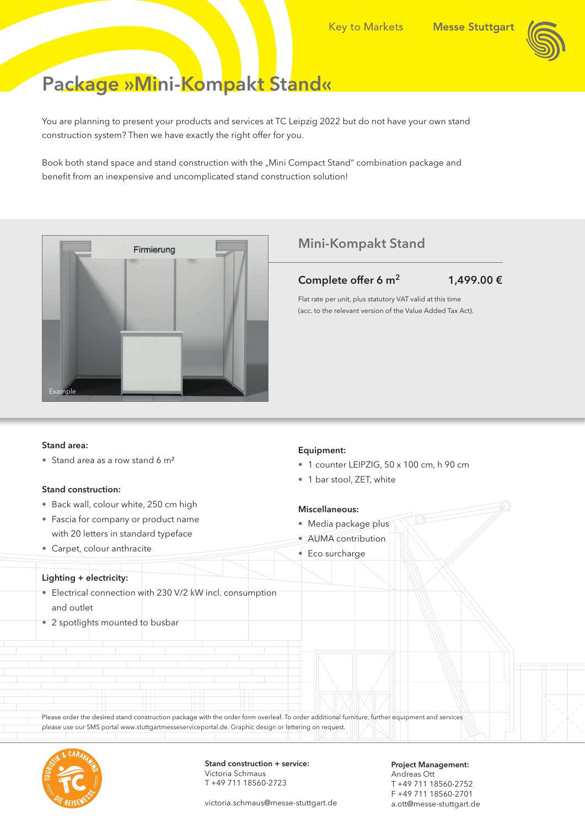# Package »Mini-Kompakt Stand«

You are planning to present your products and services at TC Leipzig 2022 but do not have your own stand construction system? Then we have exactly the right offer for you.

Book both stand space and stand construction with the "Mini Compact Stand" combination package and benefit from an inexpensive and uncomplicated stand construction solution!



### Mini-Kompakt Stand

Complete offer 6 m<sup>2</sup> 1,499.00  $\epsilon$ 

Flat rate per unit, plus statutory VAT valid at this time (acc. to the relevant version of the Value Added Tax Act).

#### Stand area:

• Stand area as a row stand 6 m<sup>2</sup>

#### Stand construction:

- Back wall, colour white, 250 cm high
- Fascia for company or product name with 20 letters in standard typeface
- Carpet, colour anthracite

### Equipment:

- 1 counter LEIPZIG, 50 x 100 cm, h 90 cm
- 1 bar stool, ZET, white

#### Miscellaneous:

- Media package plus
- AUMA contribution

- Lighting + electricity:
	- Electrical connection with 230 V/2 kW incl. consumption and outlet
	- 2 spotlights mounted to busbar

• Eco surcharge

Please order the desired stand construction package with the order form overleaf. To order additional furniture, further equipment and services please use our SMS portal www.stuttgartmesseserviceportal.de. Graphic design or lettering on request.



Stand construction + service: Victoria Schmaus T +49 711 18560-2723

victoria.schmaus@messe-stuttgart.de

Andreas Ott T +49 711 18560-2752 F +49 711 18560-2701 a.ott@messe-stuttgart.de

Project Management: